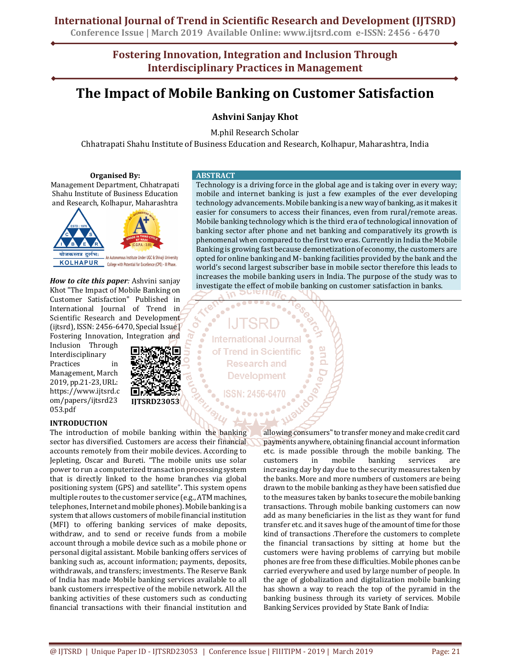## **International Journal of Trend in Scientific Research and Development (IJTSRD)**

**Conference Issue | March 2019 Available Online: www.ijtsrd.com e-ISSN: 2456 - 6470**

**Fostering Innovation, Integration and Inclusion Through Interdisciplinary Practices in Management**

# **The Impact of Mobile Banking on Customer Satisfaction**

### **Ashvini Sanjay Khot**

M.phil Research Scholar

Chhatrapati Shahu Institute of Business Education and Research, Kolhapur, Maharashtra, India

#### **Organised By:**

Management Department, Chhatrapati Shahu Institute of Business Education and Research, Kolhapur, Maharashtra



*How to cite this paper:* Ashvini sanjay Khot "The Impact of Mobile Banking on Customer Satisfaction" Published in International Journal of Trend in Scientific Research and Development (ijtsrd), ISSN: 2456-6470, Special Issue | Fostering Innovation, Integration and

Inclusion Through Interdisciplinary Practices in Management, March 2019, pp.21-23, URL: https://www.ijtsrd.c om/papers/ijtsrd23 053.pdf



#### **INTRODUCTION**

The introduction of mobile banking within the banking sector has diversified. Customers are access their financial accounts remotely from their mobile devices. According to Jepleting, Oscar and Bureti. "The mobile units use solar power to run a computerized transaction processing system that is directly linked to the home branches via global positioning system (GPS) and satellite". This system opens multiple routes to the customer service (e.g., ATM machines, telephones, Internet and mobile phones). Mobile banking is a system that allows customers of mobile financial institution (MFI) to offering banking services of make deposits, withdraw, and to send or receive funds from a mobile account through a mobile device such as a mobile phone or personal digital assistant. Mobile banking offers services of banking such as, account information; payments, deposits, withdrawals, and transfers; investments. The Reserve Bank of India has made Mobile banking services available to all bank customers irrespective of the mobile network. All the banking activities of these customers such as conducting financial transactions with their financial institution and

#### **ABSTRACT**

Technology is a driving force in the global age and is taking over in every way; mobile and internet banking is just a few examples of the ever developing technology advancements. Mobile banking is a new way of banking, as it makes it easier for consumers to access their finances, even from rural/remote areas. Mobile banking technology which is the third era of technological innovation of banking sector after phone and net banking and comparatively its growth is phenomenal when compared to the first two eras. Currently in India the Mobile Banking is growing fast because demonetization of economy, the customers are opted for online banking and M- banking facilities provided by the bank and the world's second largest subscriber base in mobile sector therefore this leads to increases the mobile banking users in India. The purpose of the study was to investigate the effect of mobile banking on customer satisfaction in banks.

**International Journal** of Trend in Scientific **Research and Development** 

> allowing consumers" to transfer money and make credit card payments anywhere, obtaining financial account information etc. is made possible through the mobile banking. The customers in mobile banking services are increasing day by day due to the security measures taken by the banks. More and more numbers of customers are being drawn to the mobile banking as they have been satisfied due to the measures taken by banks to secure the mobile banking transactions. Through mobile banking customers can now add as many beneficiaries in the list as they want for fund transfer etc. and it saves huge of the amount of time for those kind of transactions *.*Therefore the customers to complete the financial transactions by sitting at home but the customers were having problems of carrying but mobile phones are free from these difficulties. Mobile phones can be carried everywhere and used by large number of people. In the age of globalization and digitalization mobile banking has shown a way to reach the top of the pyramid in the banking business through its variety of services*.* Mobile Banking Services provided by State Bank of India: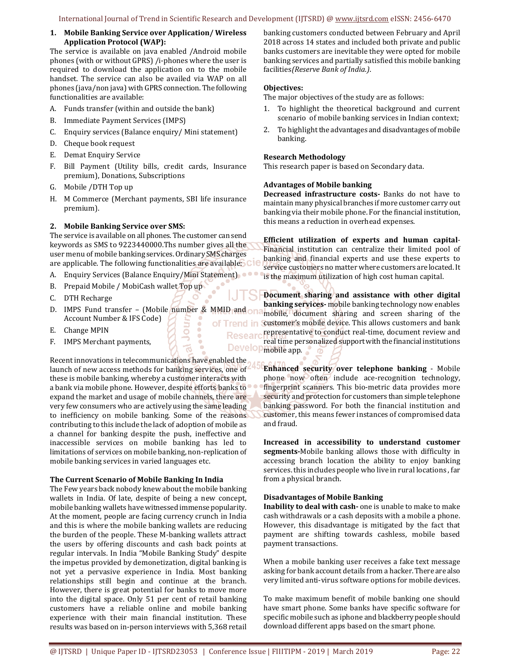#### **1. Mobile Banking Service over Application/ Wireless Application Protocol (WAP):**

The service is available on java enabled /Android mobile phones (with or without GPRS) /i-phones where the user is required to download the application on to the mobile handset. The service can also be availed via WAP on all phones (java/non java) with GPRS connection. The following functionalities are available:

- A. Funds transfer (within and outside the bank)
- B. Immediate Payment Services (IMPS)
- C. Enquiry services (Balance enquiry/ Mini statement)
- D. Cheque book request
- E. Demat Enquiry Service
- F. Bill Payment (Utility bills, credit cards, Insurance premium), Donations, Subscriptions
- G. Mobile /DTH Top up
- H. M Commerce (Merchant payments, SBI life insurance premium).

#### **2. Mobile Banking Service over SMS:**

The service is available on all phones. The customer can send keywords as SMS to 9223440000.Ths number gives all the user menu of mobile banking services. Ordinary SMS charges are applicable. The following functionalities are available:

- A. Enquiry Services (Balance Enquiry/Mini Statement).
- B. Prepaid Mobile / MobiCash wallet Top up
- C. DTH Recharge
- D. IMPS Fund transfer (Mobile number & MMID and one Account Number & IFS Code) of Trend in

ō

- E. Change MPIN
- F. IMPS Merchant payments,

Recent innovations in telecommunications have enabled the launch of new access methods for banking services, one of these is mobile banking, whereby a customer interacts with a bank via mobile phone. However, despite efforts banks to expand the market and usage of mobile channels, there are very few consumers who are actively using the same leading to inefficiency on mobile banking. Some of the reasons contributing to this include the lack of adoption of mobile as a channel for banking despite the push, ineffective and inaccessible services on mobile banking has led to limitations of services on mobile banking, non-replication of mobile banking services in varied languages etc.

#### **The Current Scenario of Mobile Banking In India**

The Few years back nobody knew about the mobile banking wallets in India. Of late, despite of being a new concept, mobile banking wallets have witnessed immense popularity. At the moment, people are facing currency crunch in India and this is where the mobile banking wallets are reducing the burden of the people. These M-banking wallets attract the users by offering discounts and cash back points at regular intervals. In India "Mobile Banking Study" despite the impetus provided by demonetization, digital banking is not yet a pervasive experience in India. Most banking relationships still begin and continue at the branch. However, there is great potential for banks to move more into the digital space. Only 51 per cent of retail banking customers have a reliable online and mobile banking experience with their main financial institution*.* These results was based on in-person interviews with 5,368 retail

banking customers conducted between February and April 2018 across 14 states and included both private and public banks customers are inevitable they were opted for mobile banking services and partially satisfied this mobile banking facilities*(Reserve Bank of India.)*.

#### **Objectives:**

The major objectives of the study are as follows:

- 1. To highlight the theoretical background and current scenario of mobile banking services in Indian context;
- 2. To highlight the advantages and disadvantages of mobile banking.

#### **Research Methodology**

This research paper is based on Secondary data.

#### **Advantages of Mobile banking**

**Decreased infrastructure costs-** Banks do not have to maintain many physical branches if more customer carry out banking via their mobile phone. For the financial institution, this means a reduction in overhead expenses.

**Efficient utilization of experts and human capital**-Financial institution can centralize their limited pool of banking and financial experts and use these experts to service customers no matter where customers are located. It is the maximum utilization of high cost human capital.

**Document sharing and assistance with other digital banking services-** mobile banking technology now enables mobile, document sharing and screen sharing of the customer's mobile device. This allows customers and bank representative to conduct real-time, document review and **Researd** real time personalized support with the financial institutions Developmobile app.

> **Enhanced security over telephone banking** - Mobile phone now often include ace-recognition technology, fingerprint scanners. This bio-metric data provides more security and protection for customers than simple telephone banking password. For both the financial institution and customer, this means fewer instances of compromised data and fraud.

> **Increased in accessibility to understand customer segments-**Mobile banking allows those with difficulty in accessing branch location the ability to enjoy banking services. this includes people who live in rural locations , far from a physical branch.

#### **Disadvantages of Mobile Banking**

**Inability to deal with cash-** one is unable to make to make cash withdrawals or a cash deposits with a mobile a phone. However, this disadvantage is mitigated by the fact that payment are shifting towards cashless, mobile based payment transactions.

When a mobile banking user receives a fake text message asking for bank account details from a hacker. There are also very limited anti-virus software options for mobile devices.

To make maximum benefit of mobile banking one should have smart phone. Some banks have specific software for specific mobile such as iphone and blackberry people should download different apps based on the smart phone.